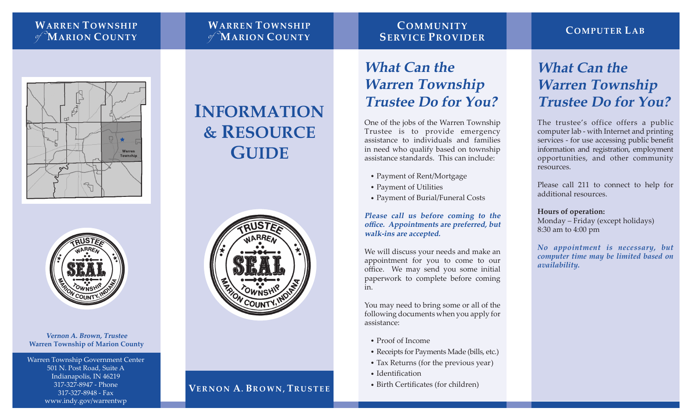### **WARREN TOWNSHIP**  of **MARION COUNTY**

### **WARREN TOWNSHIP**  of **MARION COUNTY**

### **COMMUNITY SERVICE PROVIDER**

### **COMPUTER LAB**





**Vernon A. Brown, Trustee Warren Township of Marion County**

Warren Township Government Center 501 N. Post Road, Suite A Indianapolis, IN 46219 317-327-8947 - Phone 317-327-8948 - Fax www.indy.gov/warrentwp

# **INFORMATION & RESOURCE GUIDE**



### **VERNON A. BROWN, TRUSTEE**

## **What Can the Warren Township Trustee Do for You?**

One of the jobs of the Warren Township Trustee is to provide emergency assistance to individuals and families in need who qualify based on township assistance standards. This can include:

- **•** Payment of Rent/Mortgage
- **•** Payment of Utilities
- **•** Payment of Burial/Funeral Costs

**Please call us before coming to the office. Appointments are preferred, but walk-ins are accepted.**

We will discuss your needs and make an appointment for you to come to our office. We may send you some initial paperwork to complete before coming in.

You may need to bring some or all of the following documents when you apply for assistance:

- **•** Proof of Income
- **•** Receipts for Payments Made (bills, etc.)
- **•** Tax Returns (for the previous year)
- **•** Identification
- **•** Birth Certificates (for children)

### **What Can the Warren Township Trustee Do for You?**

The trustee's office offers a public computer lab - with Internet and printing services - for use accessing public benefit information and registration, employment opportunities, and other community resources.

Please call 211 to connect to help for additional resources.

#### **Hours of operation:**

Monday – Friday (except holidays) 8:30 am to 4:00 pm

*No appointment is necessary, but computer time may be limited based on availability.*